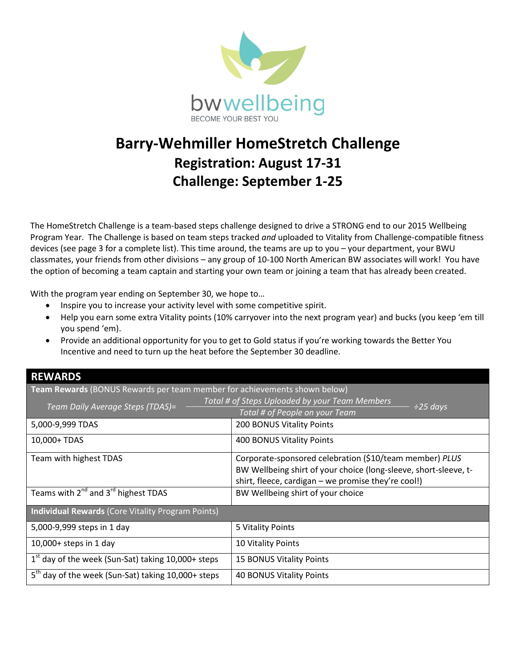

# **Barry-Wehmiller HomeStretch Challenge Registration: August 17-31 Challenge: September 1-25**

The HomeStretch Challenge is a team-based steps challenge designed to drive a STRONG end to our 2015 Wellbeing Program Year. The Challenge is based on team steps tracked *and* uploaded to Vitality from Challenge-compatible fitness devices (see page 3 for a complete list). This time around, the teams are up to you – your department, your BWU classmates, your friends from other divisions – any group of 10-100 North American BW associates will work! You have the option of becoming a team captain and starting your own team or joining a team that has already been created.

With the program year ending on September 30, we hope to…

- Inspire you to increase your activity level with some competitive spirit.
- Help you earn some extra Vitality points (10% carryover into the next program year) and bucks (you keep 'em till you spend 'em).
- Provide an additional opportunity for you to get to Gold status if you're working towards the Better You Incentive and need to turn up the heat before the September 30 deadline.

| <b>REWARDS</b> |  |  |
|----------------|--|--|
|----------------|--|--|

| <b>Team Rewards</b> (BONUS Rewards per team member for achievements shown below) |  |  |  |
|----------------------------------------------------------------------------------|--|--|--|
|                                                                                  |  |  |  |

| Team Daily Average Steps (TDAS)=                               | Total # of Steps Uploaded by your Team Members<br>$\div 25$ days |  |
|----------------------------------------------------------------|------------------------------------------------------------------|--|
|                                                                | Total # of People on your Team                                   |  |
| 5,000-9,999 TDAS                                               | 200 BONUS Vitality Points                                        |  |
| 10,000+ TDAS                                                   | 400 BONUS Vitality Points                                        |  |
| Team with highest TDAS                                         | Corporate-sponsored celebration (\$10/team member) PLUS          |  |
|                                                                | BW Wellbeing shirt of your choice (long-sleeve, short-sleeve, t- |  |
|                                                                | shirt, fleece, cardigan - we promise they're cool!)              |  |
| Teams with $2^{nd}$ and $3^{rd}$ highest TDAS                  | BW Wellbeing shirt of your choice                                |  |
| <b>Individual Rewards (Core Vitality Program Points)</b>       |                                                                  |  |
| 5,000-9,999 steps in 1 day                                     | 5 Vitality Points                                                |  |
| $10,000+$ steps in 1 day                                       | 10 Vitality Points                                               |  |
| $1st$ day of the week (Sun-Sat) taking 10,000+ steps           | 15 BONUS Vitality Points                                         |  |
| 5 <sup>th</sup> day of the week (Sun-Sat) taking 10,000+ steps | <b>40 BONUS Vitality Points</b>                                  |  |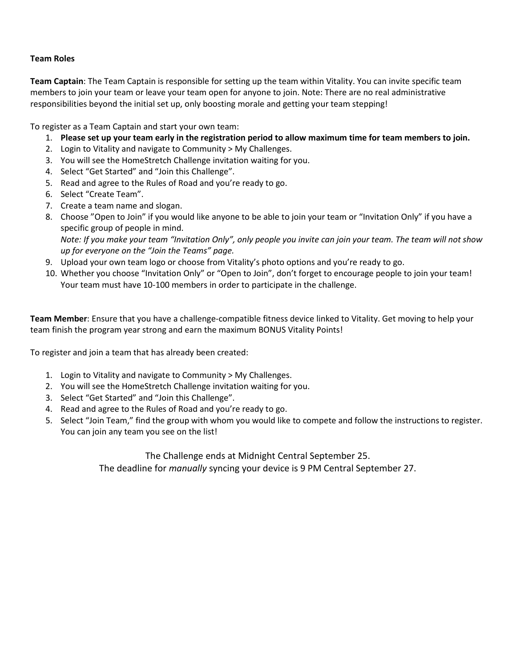### **Team Roles**

**Team Captain**: The Team Captain is responsible for setting up the team within Vitality. You can invite specific team members to join your team or leave your team open for anyone to join. Note: There are no real administrative responsibilities beyond the initial set up, only boosting morale and getting your team stepping!

To register as a Team Captain and start your own team:

- 1. **Please set up your team early in the registration period to allow maximum time for team members to join.**
- 2. Login to Vitality and navigate to Community > My Challenges.
- 3. You will see the HomeStretch Challenge invitation waiting for you.
- 4. Select "Get Started" and "Join this Challenge".
- 5. Read and agree to the Rules of Road and you're ready to go.
- 6. Select "Create Team".
- 7. Create a team name and slogan.
- 8. Choose "Open to Join" if you would like anyone to be able to join your team or "Invitation Only" if you have a specific group of people in mind.

*Note: If you make your team "Invitation Only", only people you invite can join your team. The team will not show up for everyone on the "Join the Teams" page.*

- 9. Upload your own team logo or choose from Vitality's photo options and you're ready to go.
- 10. Whether you choose "Invitation Only" or "Open to Join", don't forget to encourage people to join your team! Your team must have 10-100 members in order to participate in the challenge.

**Team Member**: Ensure that you have a challenge-compatible fitness device linked to Vitality. Get moving to help your team finish the program year strong and earn the maximum BONUS Vitality Points!

To register and join a team that has already been created:

- 1. Login to Vitality and navigate to Community > My Challenges.
- 2. You will see the HomeStretch Challenge invitation waiting for you.
- 3. Select "Get Started" and "Join this Challenge".
- 4. Read and agree to the Rules of Road and you're ready to go.
- 5. Select "Join Team," find the group with whom you would like to compete and follow the instructions to register. You can join any team you see on the list!

The Challenge ends at Midnight Central September 25.

The deadline for *manually* syncing your device is 9 PM Central September 27.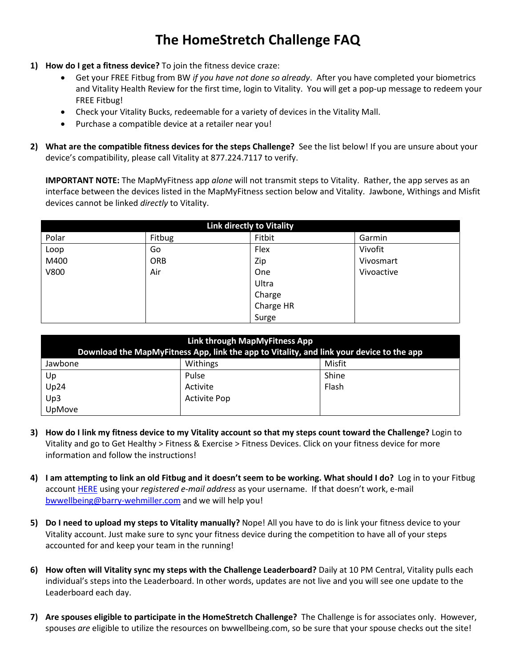## **The HomeStretch Challenge FAQ**

- **1) How do I get a fitness device?** To join the fitness device craze:
	- Get your FREE Fitbug from BW *if you have not done so already*. After you have completed your biometrics and Vitality Health Review for the first time, login to Vitality. You will get a pop-up message to redeem your FREE Fitbug!
	- Check your Vitality Bucks, redeemable for a variety of devices in the Vitality Mall.
	- Purchase a compatible device at a retailer near you!
- **2) What are the compatible fitness devices for the steps Challenge?** See the list below! If you are unsure about your device's compatibility, please call Vitality at 877.224.7117 to verify.

**IMPORTANT NOTE:** The MapMyFitness app *alone* will not transmit steps to Vitality. Rather, the app serves as an interface between the devices listed in the MapMyFitness section below and Vitality. Jawbone, Withings and Misfit devices cannot be linked *directly* to Vitality.

| Link directly to Vitality |        |           |            |  |
|---------------------------|--------|-----------|------------|--|
| Polar                     | Fitbug | Fitbit    | Garmin     |  |
| Loop                      | Go     | Flex      | Vivofit    |  |
| M400                      | ORB    | Zip       | Vivosmart  |  |
| V800                      | Air    | One       | Vivoactive |  |
|                           |        | Ultra     |            |  |
|                           |        | Charge    |            |  |
|                           |        | Charge HR |            |  |
|                           |        | Surge     |            |  |

| Link through MapMyFitness App<br>Download the MapMyFitness App, link the app to Vitality, and link your device to the app |                     |        |  |
|---------------------------------------------------------------------------------------------------------------------------|---------------------|--------|--|
| Jawbone                                                                                                                   | Withings            | Misfit |  |
| Up                                                                                                                        | Pulse               | Shine  |  |
| Up24                                                                                                                      | Activite            | Flash  |  |
| Up3                                                                                                                       | <b>Activite Pop</b> |        |  |
| UpMove                                                                                                                    |                     |        |  |

- **3) How do I link my fitness device to my Vitality account so that my steps count toward the Challenge?** Login to Vitality and go to Get Healthy > Fitness & Exercise > Fitness Devices. Click on your fitness device for more information and follow the instructions!
- **4) I am attempting to link an old Fitbug and it doesn't seem to be working. What should I do?** Log in to your Fitbug account [HERE](https://www.fitbug.com/g/v2/login.php) using your *registered e-mail address* as your username. If that doesn't work, e-mail [bwwellbeing@barry-wehmiller.com](mailto:bwwellbeing@barry-wehmiller.com) and we will help you!
- **5) Do I need to upload my steps to Vitality manually?** Nope! All you have to do is link your fitness device to your Vitality account. Just make sure to sync your fitness device during the competition to have all of your steps accounted for and keep your team in the running!
- **6) How often will Vitality sync my steps with the Challenge Leaderboard?** Daily at 10 PM Central, Vitality pulls each individual's steps into the Leaderboard. In other words, updates are not live and you will see one update to the Leaderboard each day.
- **7) Are spouses eligible to participate in the HomeStretch Challenge?** The Challenge is for associates only. However, spouses *are* eligible to utilize the resources on bwwellbeing.com, so be sure that your spouse checks out the site!